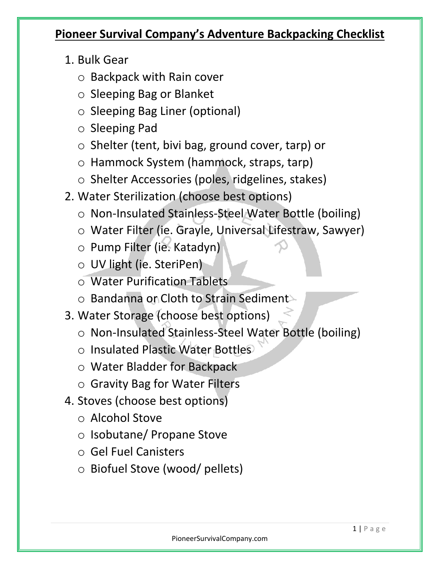## **Pioneer Survival Company's Adventure Backpacking Checklist**

- 1. Bulk Gear
	- o Backpack with Rain cover
	- o Sleeping Bag or Blanket
	- o Sleeping Bag Liner (optional)
	- o Sleeping Pad
	- o Shelter (tent, bivi bag, ground cover, tarp) or
	- o Hammock System (hammock, straps, tarp)
	- o Shelter Accessories (poles, ridgelines, stakes)
- 2. Water Sterilization (choose best options)
	- o Non-Insulated Stainless-Steel Water Bottle (boiling)
	- o Water Filter (ie. Grayle, Universal Lifestraw, Sawyer)
	- o Pump Filter (ie. Katadyn)
	- o UV light (ie. SteriPen)
	- o Water Purification Tablets
	- o Bandanna or Cloth to Strain Sediment
- 3. Water Storage (choose best options)
	- o Non-Insulated Stainless-Steel Water Bottle (boiling)
	- o Insulated Plastic Water Bottles
	- o Water Bladder for Backpack
	- o Gravity Bag for Water Filters
- 4. Stoves (choose best options)
	- o Alcohol Stove
	- o Isobutane/ Propane Stove
	- o Gel Fuel Canisters
	- o Biofuel Stove (wood/ pellets)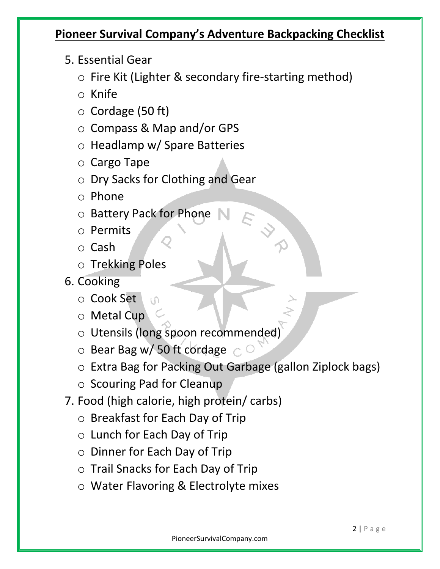## **Pioneer Survival Company's Adventure Backpacking Checklist**

- 5. Essential Gear
	- o Fire Kit (Lighter & secondary fire-starting method)
	- o Knife
	- o Cordage (50 ft)
	- o Compass & Map and/or GPS
	- o Headlamp w/ Spare Batteries
	- o Cargo Tape
	- o Dry Sacks for Clothing and Gear
	- o Phone
	- o Battery Pack for Phone
	- o Permits
	- o Cash
	- o Trekking Poles
- 6. Cooking
	- o Cook Set
	- o Metal Cup
	- o Utensils (long spoon recommended)
	- $\circ$  Bear Bag w/ 50 ft cordage  $\circ$

 $\cap$ 

- o Extra Bag for Packing Out Garbage (gallon Ziplock bags)
- o Scouring Pad for Cleanup
- 7. Food (high calorie, high protein/ carbs)
	- o Breakfast for Each Day of Trip
	- o Lunch for Each Day of Trip
	- o Dinner for Each Day of Trip
	- o Trail Snacks for Each Day of Trip
	- o Water Flavoring & Electrolyte mixes